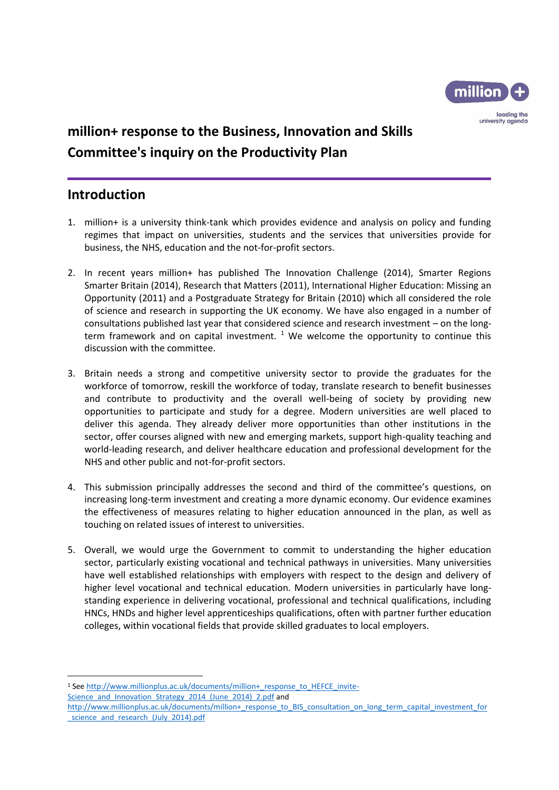

## **million+ response to the Business, Innovation and Skills Committee's inquiry on the Productivity Plan**

### **Introduction**

1

- 1. million+ is a university think-tank which provides evidence and analysis on policy and funding regimes that impact on universities, students and the services that universities provide for business, the NHS, education and the not-for-profit sectors.
- 2. In recent years million+ has published The Innovation Challenge (2014), Smarter Regions Smarter Britain (2014), Research that Matters (2011), International Higher Education: Missing an Opportunity (2011) and a Postgraduate Strategy for Britain (2010) which all considered the role of science and research in supporting the UK economy. We have also engaged in a number of consultations published last year that considered science and research investment – on the longterm framework and on capital investment.  $1$  We welcome the opportunity to continue this discussion with the committee.
- 3. Britain needs a strong and competitive university sector to provide the graduates for the workforce of tomorrow, reskill the workforce of today, translate research to benefit businesses and contribute to productivity and the overall well-being of society by providing new opportunities to participate and study for a degree. Modern universities are well placed to deliver this agenda. They already deliver more opportunities than other institutions in the sector, offer courses aligned with new and emerging markets, support high-quality teaching and world-leading research, and deliver healthcare education and professional development for the NHS and other public and not-for-profit sectors.
- 4. This submission principally addresses the second and third of the committee's questions, on increasing long-term investment and creating a more dynamic economy. Our evidence examines the effectiveness of measures relating to higher education announced in the plan, as well as touching on related issues of interest to universities.
- 5. Overall, we would urge the Government to commit to understanding the higher education sector, particularly existing vocational and technical pathways in universities. Many universities have well established relationships with employers with respect to the design and delivery of higher level vocational and technical education. Modern universities in particularly have longstanding experience in delivering vocational, professional and technical qualifications, including HNCs, HNDs and higher level apprenticeships qualifications, often with partner further education colleges, within vocational fields that provide skilled graduates to local employers.

<sup>&</sup>lt;sup>1</sup> See [http://www.millionplus.ac.uk/documents/million+\\_response\\_to\\_HEFCE\\_invite-](http://www.millionplus.ac.uk/documents/million+_response_to_HEFCE_invite-Science_and_Innovation_Strategy_2014_(June_2014)_2.pdf)[Science\\_and\\_Innovation\\_Strategy\\_2014\\_\(June\\_2014\)\\_2.pdf](http://www.millionplus.ac.uk/documents/million+_response_to_HEFCE_invite-Science_and_Innovation_Strategy_2014_(June_2014)_2.pdf) and

[http://www.millionplus.ac.uk/documents/million+\\_response\\_to\\_BIS\\_consultation\\_on\\_long\\_term\\_capital\\_investment\\_for](http://www.millionplus.ac.uk/documents/million+_response_to_BIS_consultation_on_long_term_capital_investment_for_science_and_research_(July_2014).pdf) science and research (July 2014).pdf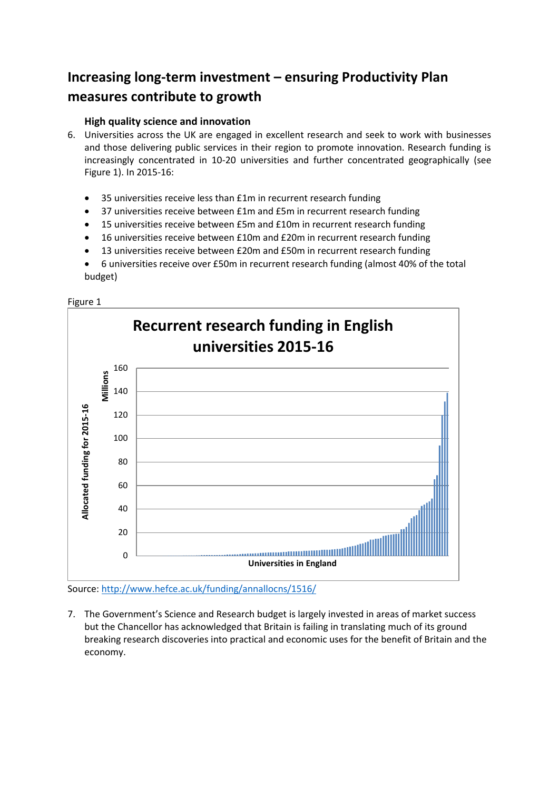# **Increasing long-term investment – ensuring Productivity Plan measures contribute to growth**

### **High quality science and innovation**

- 6. Universities across the UK are engaged in excellent research and seek to work with businesses and those delivering public services in their region to promote innovation. Research funding is increasingly concentrated in 10-20 universities and further concentrated geographically (see Figure 1). In 2015-16:
	- 35 universities receive less than £1m in recurrent research funding
	- 37 universities receive between £1m and £5m in recurrent research funding
	- 15 universities receive between £5m and £10m in recurrent research funding
	- 16 universities receive between £10m and £20m in recurrent research funding
	- 13 universities receive between £20m and £50m in recurrent research funding
	- 6 universities receive over £50m in recurrent research funding (almost 40% of the total budget)





Source:<http://www.hefce.ac.uk/funding/annallocns/1516/>

7. The Government's Science and Research budget is largely invested in areas of market success but the Chancellor has acknowledged that Britain is failing in translating much of its ground breaking research discoveries into practical and economic uses for the benefit of Britain and the economy.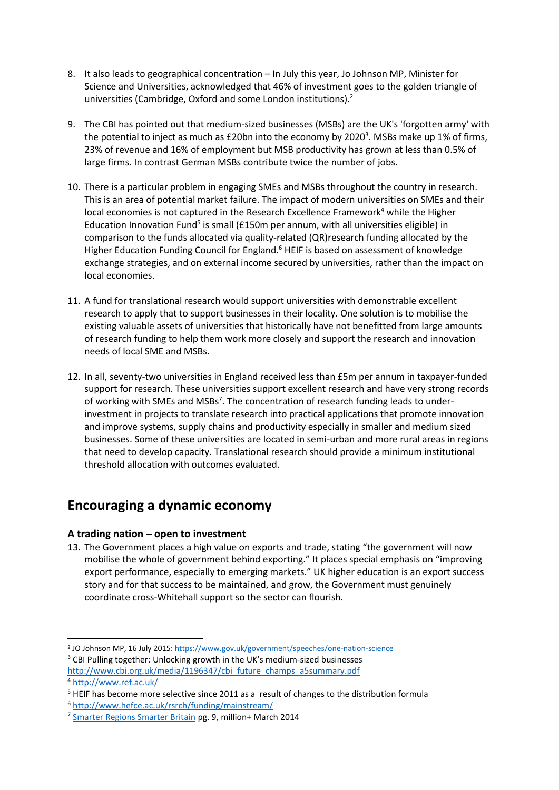- 8. It also leads to geographical concentration In July this year, Jo Johnson MP, Minister for Science and Universities, acknowledged that 46% of investment goes to the golden triangle of universities (Cambridge, Oxford and some London institutions).<sup>2</sup>
- 9. The CBI has pointed out that medium-sized businesses (MSBs) are the UK's 'forgotten army' with the potential to inject as much as £20bn into the economy by 2020<sup>3</sup>. MSBs make up 1% of firms, 23% of revenue and 16% of employment but MSB productivity has grown at less than 0.5% of large firms. In contrast German MSBs contribute twice the number of jobs.
- 10. There is a particular problem in engaging SMEs and MSBs throughout the country in research. This is an area of potential market failure. The impact of modern universities on SMEs and their local economies is not captured in the Research Excellence Framework<sup>4</sup> while the Higher Education Innovation Fund<sup>5</sup> is small (£150m per annum, with all universities eligible) in comparison to the funds allocated via quality-related (QR)research funding allocated by the Higher Education Funding Council for England.<sup>6</sup> HEIF is based on assessment of knowledge exchange strategies, and on external income secured by universities, rather than the impact on local economies.
- 11. A fund for translational research would support universities with demonstrable excellent research to apply that to support businesses in their locality. One solution is to mobilise the existing valuable assets of universities that historically have not benefitted from large amounts of research funding to help them work more closely and support the research and innovation needs of local SME and MSBs.
- 12. In all, seventy-two universities in England received less than £5m per annum in taxpayer-funded support for research. These universities support excellent research and have very strong records of working with SMEs and MSBs<sup>7</sup>. The concentration of research funding leads to underinvestment in projects to translate research into practical applications that promote innovation and improve systems, supply chains and productivity especially in smaller and medium sized businesses. Some of these universities are located in semi-urban and more rural areas in regions that need to develop capacity. Translational research should provide a minimum institutional threshold allocation with outcomes evaluated.

## **Encouraging a dynamic economy**

### **A trading nation – open to investment**

13. The Government places a high value on exports and trade, stating "the government will now mobilise the whole of government behind exporting." It places special emphasis on "improving export performance, especially to emerging markets." UK higher education is an export success story and for that success to be maintained, and grow, the Government must genuinely coordinate cross-Whitehall support so the sector can flourish.

- <sup>3</sup> CBI Pulling together: Unlocking growth in the UK's medium-sized businesses
- [http://www.cbi.org.uk/media/1196347/cbi\\_future\\_champs\\_a5summary.pdf](http://www.cbi.org.uk/media/1196347/cbi_future_champs_a5summary.pdf) <sup>4</sup> <http://www.ref.ac.uk/>

**<sup>.</sup>** <sup>2</sup> JO Johnson MP, 16 July 2015[: https://www.gov.uk/government/speeches/one-nation-science](https://www.gov.uk/government/speeches/one-nation-science)

<sup>&</sup>lt;sup>5</sup> HEIF has become more selective since 2011 as a result of changes to the distribution formula

<sup>6</sup> <http://www.hefce.ac.uk/rsrch/funding/mainstream/>

<sup>&</sup>lt;sup>7</sup> [Smarter Regions Smarter Britain](http://www.millionplus.ac.uk/research-policy/reports/latest-reports/research-report-smarter-regions-smarter-britain-boosting-regional-growth-through-universities) pg. 9, million+ March 2014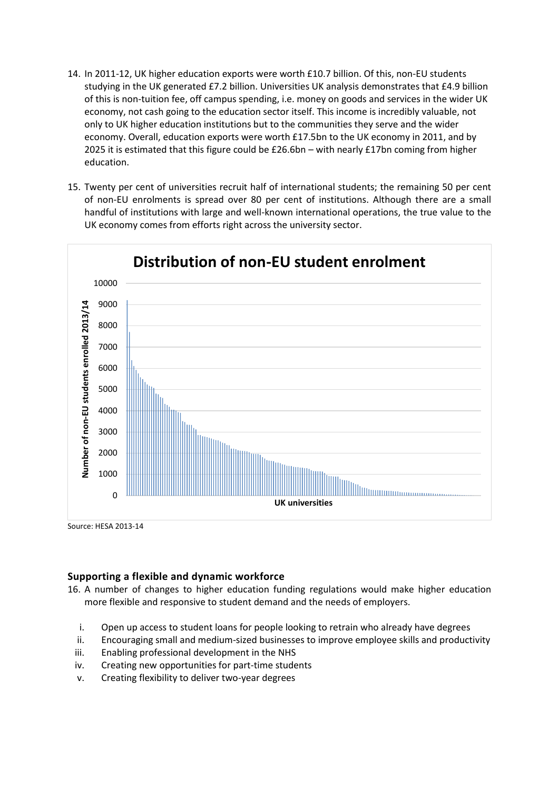- 14. In 2011-12, UK higher education exports were worth £10.7 billion. Of this, non-EU students studying in the UK generated £7.2 billion. Universities UK analysis demonstrates that £4.9 billion of this is non-tuition fee, off campus spending, i.e. money on goods and services in the wider UK economy, not cash going to the education sector itself. This income is incredibly valuable, not only to UK higher education institutions but to the communities they serve and the wider economy. Overall, education exports were worth £17.5bn to the UK economy in 2011, and by 2025 it is estimated that this figure could be £26.6bn – with nearly £17bn coming from higher education.
- 15. Twenty per cent of universities recruit half of international students; the remaining 50 per cent of non-EU enrolments is spread over 80 per cent of institutions. Although there are a small handful of institutions with large and well-known international operations, the true value to the UK economy comes from efforts right across the university sector.



Source: HESA 2013-14

#### **Supporting a flexible and dynamic workforce**

16. A number of changes to higher education funding regulations would make higher education more flexible and responsive to student demand and the needs of employers.

- i. Open up access to student loans for people looking to retrain who already have degrees
- ii. Encouraging small and medium-sized businesses to improve employee skills and productivity
- iii. Enabling professional development in the NHS
- iv. Creating new opportunities for part-time students
- v. Creating flexibility to deliver two-year degrees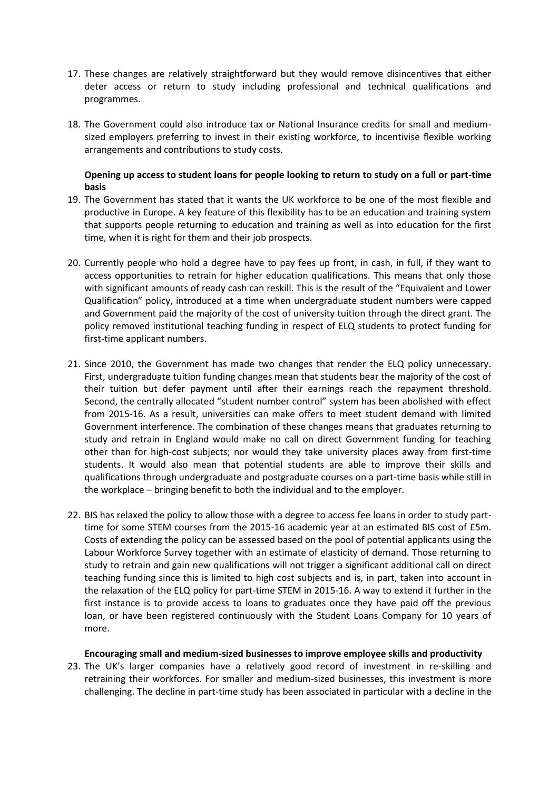- 17. These changes are relatively straightforward but they would remove disincentives that either deter access or return to study including professional and technical qualifications and programmes.
- 18. The Government could also introduce tax or National Insurance credits for small and mediumsized employers preferring to invest in their existing workforce, to incentivise flexible working arrangements and contributions to study costs.

#### **Opening up access to student loans for people looking to return to study on a full or part-time basis**

- 19. The Government has stated that it wants the UK workforce to be one of the most flexible and productive in Europe. A key feature of this flexibility has to be an education and training system that supports people returning to education and training as well as into education for the first time, when it is right for them and their job prospects.
- 20. Currently people who hold a degree have to pay fees up front, in cash, in full, if they want to access opportunities to retrain for higher education qualifications. This means that only those with significant amounts of ready cash can reskill. This is the result of the "Equivalent and Lower Qualification" policy, introduced at a time when undergraduate student numbers were capped and Government paid the majority of the cost of university tuition through the direct grant. The policy removed institutional teaching funding in respect of ELQ students to protect funding for first-time applicant numbers.
- 21. Since 2010, the Government has made two changes that render the ELQ policy unnecessary. First, undergraduate tuition funding changes mean that students bear the majority of the cost of their tuition but defer payment until after their earnings reach the repayment threshold. Second, the centrally allocated "student number control" system has been abolished with effect from 2015-16. As a result, universities can make offers to meet student demand with limited Government interference. The combination of these changes means that graduates returning to study and retrain in England would make no call on direct Government funding for teaching other than for high-cost subjects; nor would they take university places away from first-time students. It would also mean that potential students are able to improve their skills and qualifications through undergraduate and postgraduate courses on a part-time basis while still in the workplace – bringing benefit to both the individual and to the employer.
- 22. BIS has relaxed the policy to allow those with a degree to access fee loans in order to study parttime for some STEM courses from the 2015-16 academic year at an estimated BIS cost of £5m. Costs of extending the policy can be assessed based on the pool of potential applicants using the Labour Workforce Survey together with an estimate of elasticity of demand. Those returning to study to retrain and gain new qualifications will not trigger a significant additional call on direct teaching funding since this is limited to high cost subjects and is, in part, taken into account in the relaxation of the ELQ policy for part-time STEM in 2015-16. A way to extend it further in the first instance is to provide access to loans to graduates once they have paid off the previous loan, or have been registered continuously with the Student Loans Company for 10 years of more.

#### **Encouraging small and medium-sized businesses to improve employee skills and productivity**

23. The UK's larger companies have a relatively good record of investment in re-skilling and retraining their workforces. For smaller and medium-sized businesses, this investment is more challenging. The decline in part-time study has been associated in particular with a decline in the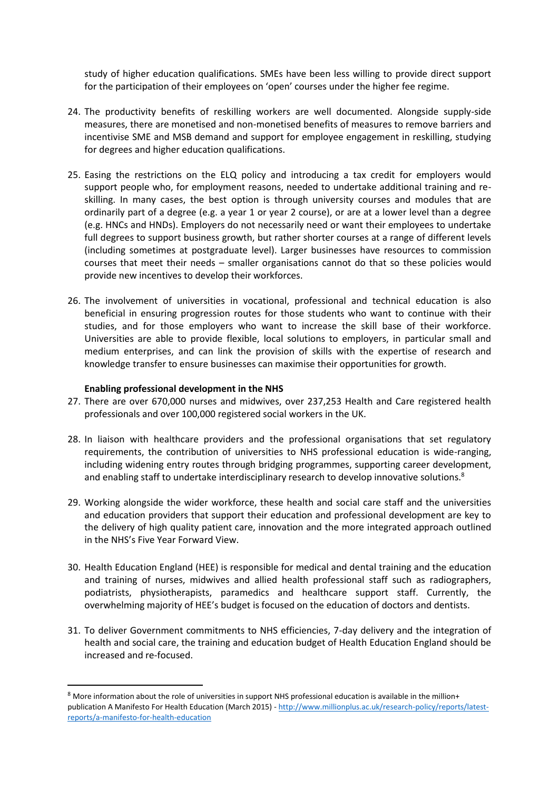study of higher education qualifications. SMEs have been less willing to provide direct support for the participation of their employees on 'open' courses under the higher fee regime.

- 24. The productivity benefits of reskilling workers are well documented. Alongside supply-side measures, there are monetised and non-monetised benefits of measures to remove barriers and incentivise SME and MSB demand and support for employee engagement in reskilling, studying for degrees and higher education qualifications.
- 25. Easing the restrictions on the ELQ policy and introducing a tax credit for employers would support people who, for employment reasons, needed to undertake additional training and reskilling. In many cases, the best option is through university courses and modules that are ordinarily part of a degree (e.g. a year 1 or year 2 course), or are at a lower level than a degree (e.g. HNCs and HNDs). Employers do not necessarily need or want their employees to undertake full degrees to support business growth, but rather shorter courses at a range of different levels (including sometimes at postgraduate level). Larger businesses have resources to commission courses that meet their needs – smaller organisations cannot do that so these policies would provide new incentives to develop their workforces.
- 26. The involvement of universities in vocational, professional and technical education is also beneficial in ensuring progression routes for those students who want to continue with their studies, and for those employers who want to increase the skill base of their workforce. Universities are able to provide flexible, local solutions to employers, in particular small and medium enterprises, and can link the provision of skills with the expertise of research and knowledge transfer to ensure businesses can maximise their opportunities for growth.

#### **Enabling professional development in the NHS**

1

- 27. There are over 670,000 nurses and midwives, over 237,253 Health and Care registered health professionals and over 100,000 registered social workers in the UK.
- 28. In liaison with healthcare providers and the professional organisations that set regulatory requirements, the contribution of universities to NHS professional education is wide-ranging, including widening entry routes through bridging programmes, supporting career development, and enabling staff to undertake interdisciplinary research to develop innovative solutions.<sup>8</sup>
- 29. Working alongside the wider workforce, these health and social care staff and the universities and education providers that support their education and professional development are key to the delivery of high quality patient care, innovation and the more integrated approach outlined in the NHS's Five Year Forward View.
- 30. Health Education England (HEE) is responsible for medical and dental training and the education and training of nurses, midwives and allied health professional staff such as radiographers, podiatrists, physiotherapists, paramedics and healthcare support staff. Currently, the overwhelming majority of HEE's budget is focused on the education of doctors and dentists.
- 31. To deliver Government commitments to NHS efficiencies, 7-day delivery and the integration of health and social care, the training and education budget of Health Education England should be increased and re-focused.

<sup>8</sup> More information about the role of universities in support NHS professional education is available in the million+ publication A Manifesto For Health Education (March 2015) - [http://www.millionplus.ac.uk/research-policy/reports/latest](http://www.millionplus.ac.uk/research-policy/reports/latest-reports/a-manifesto-for-health-education)[reports/a-manifesto-for-health-education](http://www.millionplus.ac.uk/research-policy/reports/latest-reports/a-manifesto-for-health-education)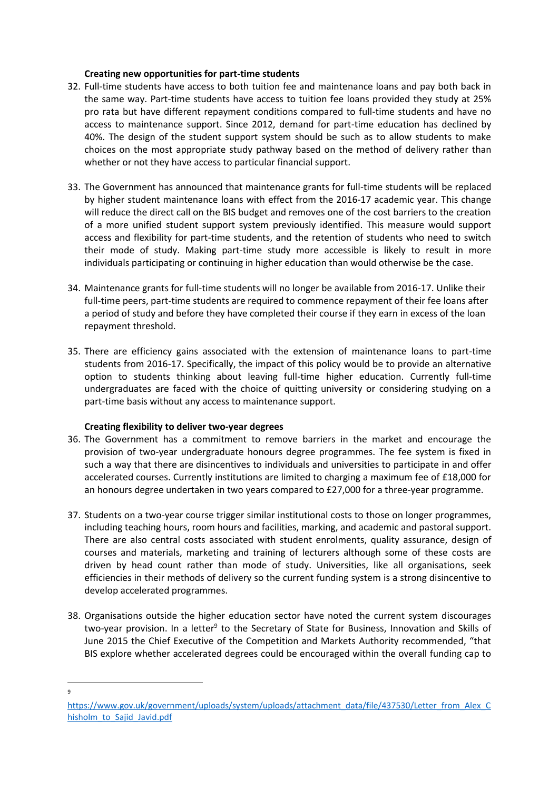#### **Creating new opportunities for part-time students**

- 32. Full-time students have access to both tuition fee and maintenance loans and pay both back in the same way. Part-time students have access to tuition fee loans provided they study at 25% pro rata but have different repayment conditions compared to full-time students and have no access to maintenance support. Since 2012, demand for part-time education has declined by 40%. The design of the student support system should be such as to allow students to make choices on the most appropriate study pathway based on the method of delivery rather than whether or not they have access to particular financial support.
- 33. The Government has announced that maintenance grants for full-time students will be replaced by higher student maintenance loans with effect from the 2016-17 academic year. This change will reduce the direct call on the BIS budget and removes one of the cost barriers to the creation of a more unified student support system previously identified. This measure would support access and flexibility for part-time students, and the retention of students who need to switch their mode of study. Making part-time study more accessible is likely to result in more individuals participating or continuing in higher education than would otherwise be the case.
- 34. Maintenance grants for full-time students will no longer be available from 2016-17. Unlike their full-time peers, part-time students are required to commence repayment of their fee loans after a period of study and before they have completed their course if they earn in excess of the loan repayment threshold.
- 35. There are efficiency gains associated with the extension of maintenance loans to part-time students from 2016-17. Specifically, the impact of this policy would be to provide an alternative option to students thinking about leaving full-time higher education. Currently full-time undergraduates are faced with the choice of quitting university or considering studying on a part-time basis without any access to maintenance support.

#### **Creating flexibility to deliver two-year degrees**

- 36. The Government has a commitment to remove barriers in the market and encourage the provision of two-year undergraduate honours degree programmes. The fee system is fixed in such a way that there are disincentives to individuals and universities to participate in and offer accelerated courses. Currently institutions are limited to charging a maximum fee of £18,000 for an honours degree undertaken in two years compared to £27,000 for a three-year programme.
- 37. Students on a two-year course trigger similar institutional costs to those on longer programmes, including teaching hours, room hours and facilities, marking, and academic and pastoral support. There are also central costs associated with student enrolments, quality assurance, design of courses and materials, marketing and training of lecturers although some of these costs are driven by head count rather than mode of study. Universities, like all organisations, seek efficiencies in their methods of delivery so the current funding system is a strong disincentive to develop accelerated programmes.
- 38. Organisations outside the higher education sector have noted the current system discourages two-year provision. In a letter<sup>9</sup> to the Secretary of State for Business, Innovation and Skills of June 2015 the Chief Executive of the Competition and Markets Authority recommended, "that BIS explore whether accelerated degrees could be encouraged within the overall funding cap to

**<sup>.</sup>** 9

[https://www.gov.uk/government/uploads/system/uploads/attachment\\_data/file/437530/Letter\\_from\\_Alex\\_C](https://www.gov.uk/government/uploads/system/uploads/attachment_data/file/437530/Letter_from_Alex_Chisholm_to_Sajid_Javid.pdf) [hisholm\\_to\\_Sajid\\_Javid.pdf](https://www.gov.uk/government/uploads/system/uploads/attachment_data/file/437530/Letter_from_Alex_Chisholm_to_Sajid_Javid.pdf)